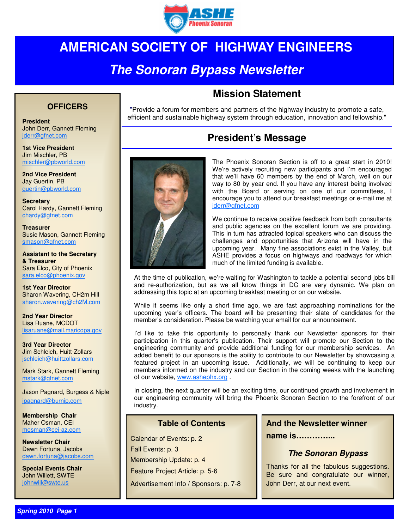

## **AMERICAN SOCIETY OF HIGHWAY ENGINEERS**

## **The Sonoran Bypass Newsletter**

#### **OFFICERS**

John Derr, Gannett Fleming jderr@gfnet.com

**1st Vice President**  Jim Mischler, PB mischler@pbworld.com

**2nd Vice President**  Jay Guertin, PB guertin@pbworld.com

**Secretary**  Carol Hardy, Gannett Fleming chardy@gfnet.com

**Treasurer**  Susie Mason, Gannett Fleming smason@gfnet.com

**Assistant to the Secretary & Treasurer**  Sara Elco, City of Phoenix sara.elco@phoenix.gov

**1st Year Director**  Sharon Wavering, CH2m Hill sharon.wavering@ch2M.com

**2nd Year Director**  Lisa Ruane, MCDOT lisaruane@mail.maricopa.gov

**3rd Year Director**  Jim Schleich, Huitt-Zollars jschleich@huittzollars.com

Mark Stark, Gannett Fleming mstark@gfnet.com

Jason Pagnard, Burgess & Niple jpagnard@burnip.com

**Membership Chair**  Maher Osman, CEI mosman@cei-az.com

**Newsletter Chair**  Dawn Fortuna, Jacobs dawn.fortuna@jacobs.com

**Special Events Chair**  John Willett, SWTE iohnwill@swte.us

### **Mission Statement**

"Provide a forum for members and partners of the highway industry to promote a safe, efficient and sustainable highway system through education, innovation and fellowship." **President** 

### **President's Message**



The Phoenix Sonoran Section is off to a great start in 2010! We're actively recruiting new participants and I'm encouraged that we'll have 60 members by the end of March, well on our way to 80 by year end. If you have any interest being involved with the Board or serving on one of our committees, I encourage you to attend our breakfast meetings or e-mail me at jderr@gfnet.com

We continue to receive positive feedback from both consultants and public agencies on the excellent forum we are providing. This in turn has attracted topical speakers who can discuss the challenges and opportunities that Arizona will have in the upcoming year. Many fine associations exist in the Valley, but ASHE provides a focus on highways and roadways for which much of the limited funding is available.

At the time of publication, we're waiting for Washington to tackle a potential second jobs bill and re-authorization, but as we all know things in DC are very dynamic. We plan on addressing this topic at an upcoming breakfast meeting or on our website.

While it seems like only a short time ago, we are fast approaching nominations for the upcoming year's officers. The board will be presenting their slate of candidates for the member's consideration. Please be watching your email for our announcement.

I'd like to take this opportunity to personally thank our Newsletter sponsors for their participation in this quarter's publication. Their support will promote our Section to the engineering community and provide additional funding for our membership services. An added benefit to our sponsors is the ability to contribute to our Newsletter by showcasing a featured project in an upcoming issue. Additionally, we will be continuing to keep our members informed on the industry and our Section in the coming weeks with the launching of our website, www.ashephx.org .

In closing, the next quarter will be an exciting time, our continued growth and involvement in our engineering community will bring the Phoenix Sonoran Section to the forefront of our industry.

#### **Table of Contents**

Calendar of Events: p. 2 Fall Events: p. 3 Membership Update: p. 4 Feature Project Article: p. 5-6 Advertisement Info / Sponsors: p. 7-8

#### **And the Newsletter winner**

**name is…………...** 

#### **The Sonoran Bypass**

Thanks for all the fabulous suggestions. Be sure and congratulate our winner, John Derr, at our next event.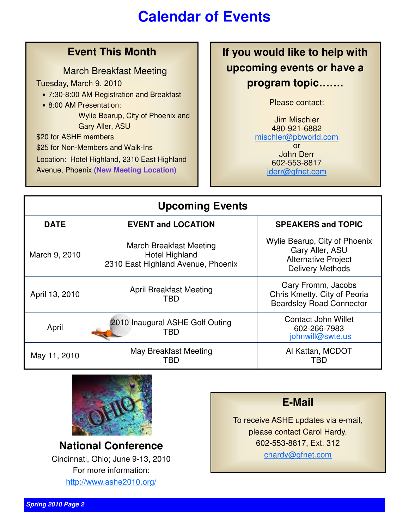# **Calendar of Events**

### **Event This Month**

March Breakfast Meeting

Tuesday, March 9, 2010

- 7:30-8:00 AM Registration and Breakfast
- 8:00 AM Presentation:

 Wylie Bearup, City of Phoenix and Gary Aller, ASU

\$20 for ASHE members

\$25 for Non-Members and Walk-Ins

Location: Hotel Highland, 2310 East Highland

Avenue, Phoenix **(New Meeting Location)**

**If you would like to help with upcoming events or have a program topic…….** 

Please contact:

Jim Mischler 480-921-6882 mischler@pbworld.com or John Derr 602-553-8817 jderr@gfnet.com

| <b>Upcoming Events</b> |                                                                                               |                                                                                                           |  |
|------------------------|-----------------------------------------------------------------------------------------------|-----------------------------------------------------------------------------------------------------------|--|
| <b>DATE</b>            | <b>EVENT and LOCATION</b>                                                                     | <b>SPEAKERS and TOPIC</b>                                                                                 |  |
| March 9, 2010          | <b>March Breakfast Meeting</b><br><b>Hotel Highland</b><br>2310 East Highland Avenue, Phoenix | Wylie Bearup, City of Phoenix<br>Gary Aller, ASU<br><b>Alternative Project</b><br><b>Delivery Methods</b> |  |
| April 13, 2010         | <b>April Breakfast Meeting</b><br>TBD                                                         | Gary Fromm, Jacobs<br>Chris Kmetty, City of Peoria<br><b>Beardsley Road Connector</b>                     |  |
| April                  | 2010 Inaugural ASHE Golf Outing<br>TBD                                                        | <b>Contact John Willet</b><br>602-266-7983<br>johnwill@swte.us                                            |  |
| May 11, 2010           | May Breakfast Meeting<br>TBD                                                                  | Al Kattan, MCDOT<br>TBD                                                                                   |  |



**National Conference**  Cincinnati, Ohio; June 9-13, 2010 For more information: http://www.ashe2010.org/

**E-Mail**

To receive ASHE updates via e-mail, please contact Carol Hardy. 602-553-8817, Ext. 312 chardy@gfnet.com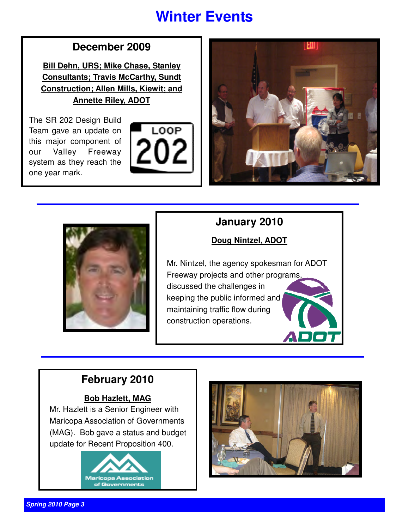# **Winter Events**

## **December 2009**

**Bill Dehn, URS; Mike Chase, Stanley Consultants; Travis McCarthy, Sundt Construction; Allen Mills, Kiewit; and Annette Riley, ADOT**

The SR 202 Design Build Team gave an update on this major component of our Valley Freeway system as they reach the one year mark.







## **January 2010**

### **Doug Nintzel, ADOT**

Mr. Nintzel, the agency spokesman for ADOT Freeway projects and other programs, discussed the challenges in keeping the public informed and maintaining traffic flow during construction operations.

## **February 2010**

### **Bob Hazlett, MAG**

Mr. Hazlett is a Senior Engineer with Maricopa Association of Governments (MAG). Bob gave a status and budget update for Recent Proposition 400.



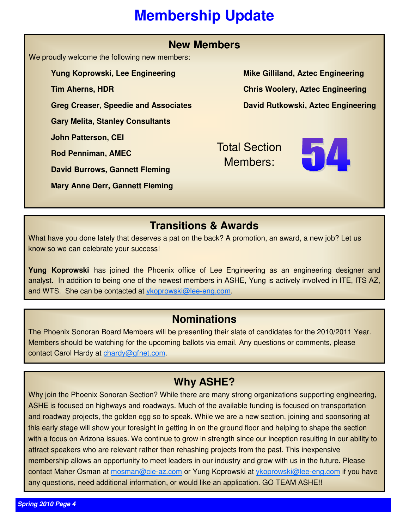# **Membership Update**

| <b>New Members</b>                            |                                          |  |  |
|-----------------------------------------------|------------------------------------------|--|--|
| We proudly welcome the following new members: |                                          |  |  |
| Yung Koprowski, Lee Engineering               | <b>Mike Gilliland, Aztec Engineering</b> |  |  |
| <b>Tim Aherns, HDR</b>                        | <b>Chris Woolery, Aztec Engineering</b>  |  |  |
| <b>Greg Creaser, Speedie and Associates</b>   | David Rutkowski, Aztec Engineering       |  |  |
| <b>Gary Melita, Stanley Consultants</b>       |                                          |  |  |
| <b>John Patterson, CEI</b>                    | <b>Total Section</b>                     |  |  |
| <b>Rod Penniman, AMEC</b>                     | Members:                                 |  |  |
| <b>David Burrows, Gannett Fleming</b>         |                                          |  |  |
| <b>Mary Anne Derr, Gannett Fleming</b>        |                                          |  |  |

### **Transitions & Awards**

What have you done lately that deserves a pat on the back? A promotion, an award, a new job? Let us know so we can celebrate your success!

**Yung Koprowski** has joined the Phoenix office of Lee Engineering as an engineering designer and analyst. In addition to being one of the newest members in ASHE, Yung is actively involved in ITE, ITS AZ, and WTS. She can be contacted at ykoprowski@lee-eng.com.

### **Nominations**

The Phoenix Sonoran Board Members will be presenting their slate of candidates for the 2010/2011 Year. Members should be watching for the upcoming ballots via email. Any questions or comments, please contact Carol Hardy at chardy@gfnet.com.

## **Why ASHE?**

Why join the Phoenix Sonoran Section? While there are many strong organizations supporting engineering, ASHE is focused on highways and roadways. Much of the available funding is focused on transportation and roadway projects, the golden egg so to speak. While we are a new section, joining and sponsoring at this early stage will show your foresight in getting in on the ground floor and helping to shape the section with a focus on Arizona issues. We continue to grow in strength since our inception resulting in our ability to attract speakers who are relevant rather then rehashing projects from the past. This inexpensive membership allows an opportunity to meet leaders in our industry and grow with us in the future. Please contact Maher Osman at mosman@cie-az.com or Yung Koprowski at ykoprowski@lee-eng.com if you have any questions, need additional information, or would like an application. GO TEAM ASHE!!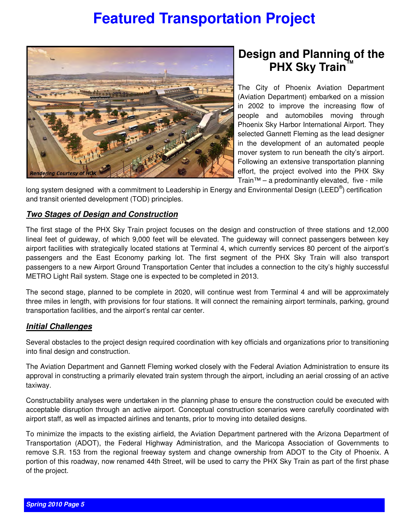## **Featured Transportation Project**



## **Design and Planning of the PHX Sky Train**

The City of Phoenix Aviation Department (Aviation Department) embarked on a mission in 2002 to improve the increasing flow of people and automobiles moving through Phoenix Sky Harbor International Airport. They selected Gannett Fleming as the lead designer in the development of an automated people mover system to run beneath the city's airport. Following an extensive transportation planning effort, the project evolved into the PHX Sky Train™ – a predominantly elevated, five - mile

long system designed with a commitment to Leadership in Energy and Environmental Design (LEED®) certification and transit oriented development (TOD) principles.

#### **Two Stages of Design and Construction**

The first stage of the PHX Sky Train project focuses on the design and construction of three stations and 12,000 lineal feet of guideway, of which 9,000 feet will be elevated. The guideway will connect passengers between key airport facilities with strategically located stations at Terminal 4, which currently services 80 percent of the airport's passengers and the East Economy parking lot. The first segment of the PHX Sky Train will also transport passengers to a new Airport Ground Transportation Center that includes a connection to the city's highly successful METRO Light Rail system. Stage one is expected to be completed in 2013.

The second stage, planned to be complete in 2020, will continue west from Terminal 4 and will be approximately three miles in length, with provisions for four stations. It will connect the remaining airport terminals, parking, ground transportation facilities, and the airport's rental car center.

#### **Initial Challenges**

Several obstacles to the project design required coordination with key officials and organizations prior to transitioning into final design and construction.

The Aviation Department and Gannett Fleming worked closely with the Federal Aviation Administration to ensure its approval in constructing a primarily elevated train system through the airport, including an aerial crossing of an active taxiway.

Constructability analyses were undertaken in the planning phase to ensure the construction could be executed with acceptable disruption through an active airport. Conceptual construction scenarios were carefully coordinated with airport staff, as well as impacted airlines and tenants, prior to moving into detailed designs.

To minimize the impacts to the existing airfield, the Aviation Department partnered with the Arizona Department of Transportation (ADOT), the Federal Highway Administration, and the Maricopa Association of Governments to remove S.R. 153 from the regional freeway system and change ownership from ADOT to the City of Phoenix. A portion of this roadway, now renamed 44th Street, will be used to carry the PHX Sky Train as part of the first phase of the project.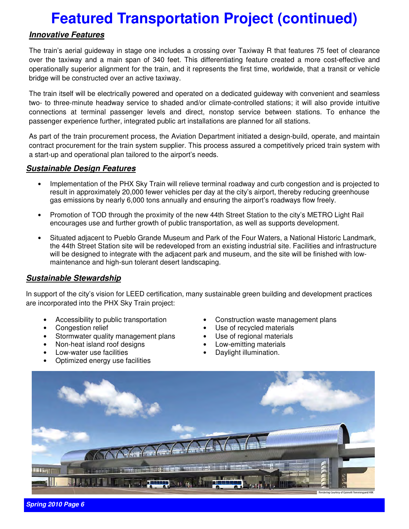# **Featured Transportation Project (continued)**

#### **Innovative Features**

The train's aerial guideway in stage one includes a crossing over Taxiway R that features 75 feet of clearance over the taxiway and a main span of 340 feet. This differentiating feature created a more cost-effective and operationally superior alignment for the train, and it represents the first time, worldwide, that a transit or vehicle bridge will be constructed over an active taxiway.

The train itself will be electrically powered and operated on a dedicated guideway with convenient and seamless two- to three-minute headway service to shaded and/or climate-controlled stations; it will also provide intuitive connections at terminal passenger levels and direct, nonstop service between stations. To enhance the passenger experience further, integrated public art installations are planned for all stations. .

As part of the train procurement process, the Aviation Department initiated a design-build, operate, and maintain contract procurement for the train system supplier. This process assured a competitively priced train system with a start-up and operational plan tailored to the airport's needs.

#### **Sustainable Design Features**

- Implementation of the PHX Sky Train will relieve terminal roadway and curb congestion and is projected to result in approximately 20,000 fewer vehicles per day at the city's airport, thereby reducing greenhouse gas emissions by nearly 6,000 tons annually and ensuring the airport's roadways flow freely.
- Promotion of TOD through the proximity of the new 44th Street Station to the city's METRO Light Rail encourages use and further growth of public transportation, as well as supports development.
- Situated adjacent to Pueblo Grande Museum and Park of the Four Waters, a National Historic Landmark, the 44th Street Station site will be redeveloped from an existing industrial site. Facilities and infrastructure will be designed to integrate with the adjacent park and museum, and the site will be finished with lowmaintenance and high-sun tolerant desert landscaping.

#### **Sustainable Stewardship**

In support of the city's vision for LEED certification, many sustainable green building and development practices are incorporated into the PHX Sky Train project:

- Accessibility to public transportation
- Congestion relief
- Stormwater quality management plans
- Non-heat island roof designs
- Low-water use facilities
- Optimized energy use facilities
- Construction waste management plans
- Use of recycled materials
- Use of regional materials
- Low-emitting materials
- Daylight illumination.



**Spring 2010 Page 6**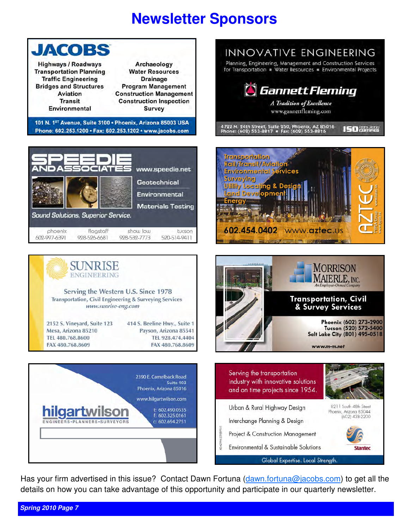# **Newsletter Sponsors**



INNOVATIVE ENGINEERING Planning, Engineering, Management and Construction Services for Transportation · Water Resources · Environmental Projects **G** Gannett Fleming









Has your firm advertised in this issue? Contact Dawn Fortuna (dawn.fortuna@jacobs.com) to get all the details on how you can take advantage of this opportunity and participate in our quarterly newsletter.